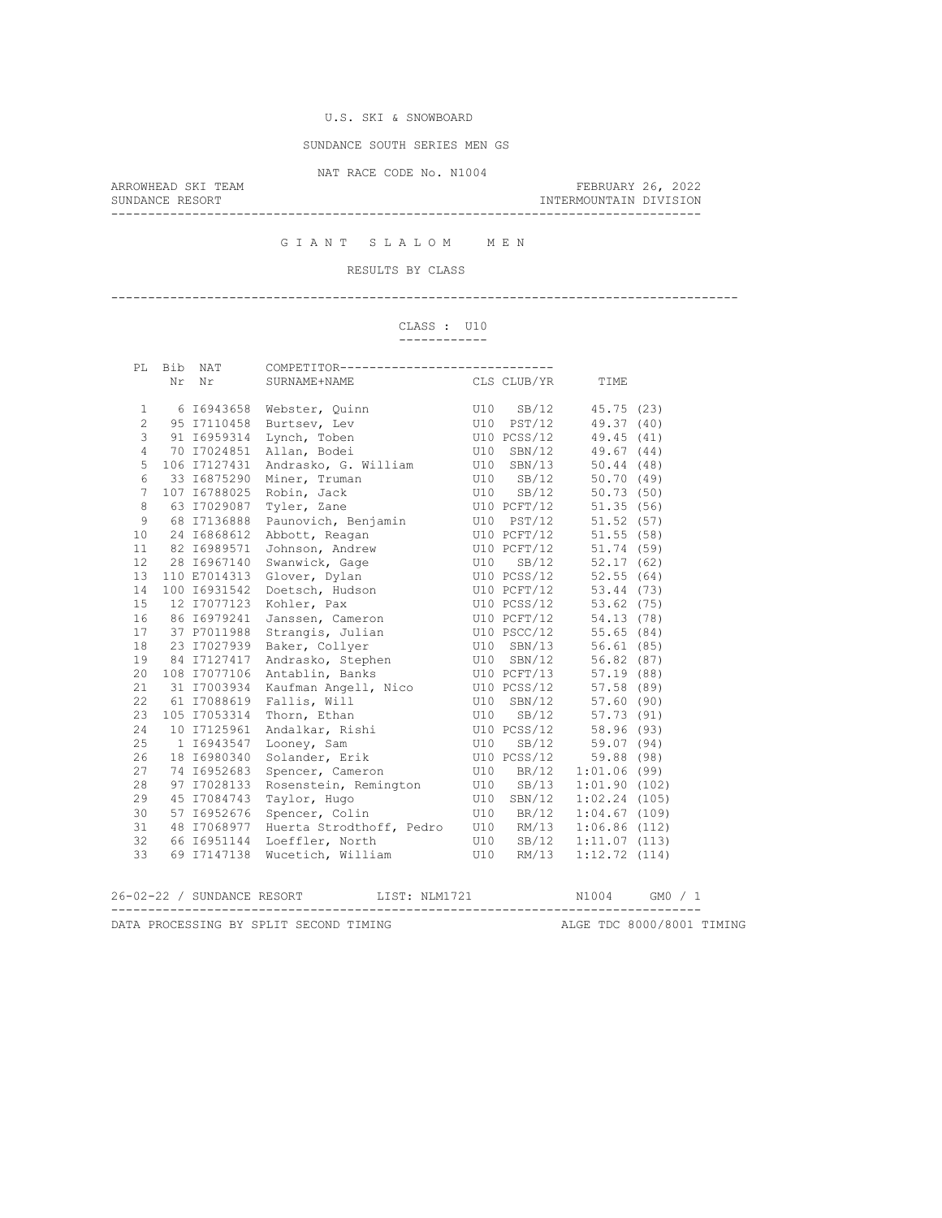SUNDANCE SOUTH SERIES MEN GS

NAT RACE CODE No. N1004

--------------------------------------------------------------------------------

ARROWHEAD SKI TEAM FEBRUARY 26, 2022 INTERMOUNTAIN DIVISION

G I A N T S L A L O M M E N

RESULTS BY CLASS

-------------------------------------------------------------------------------------

#### CLASS : U10 ------------

|                 | Nr Nr        | SURNAME+NAME<br>CLS CLUB/YR TIME                                                                                                                                                                                   |                                                                                                                                           |  |                        |  |  |
|-----------------|--------------|--------------------------------------------------------------------------------------------------------------------------------------------------------------------------------------------------------------------|-------------------------------------------------------------------------------------------------------------------------------------------|--|------------------------|--|--|
|                 |              |                                                                                                                                                                                                                    |                                                                                                                                           |  |                        |  |  |
| $\mathbf{1}$    |              | 6 16943658 Webster, Quinn                                                                                                                                                                                          |                                                                                                                                           |  |                        |  |  |
| $\overline{c}$  | 95 17110458  |                                                                                                                                                                                                                    |                                                                                                                                           |  |                        |  |  |
| 3               | 91 I6959314  |                                                                                                                                                                                                                    | Webster, Quinn (10 SB/12 45.75 (23)<br>Burtsev, Lev (10 PST/12 49.37 (40)<br>Lynch, Toben (10 PCSS/12 49.45 (41)<br>U10 SBN/12 49.67 (44) |  |                        |  |  |
| $\overline{4}$  | 70 17024851  | Allan, Bodei                                                                                                                                                                                                       |                                                                                                                                           |  |                        |  |  |
| 5               | 106 17127431 | Andrasko, G. William U10 SBN/13 50.44 (48)                                                                                                                                                                         |                                                                                                                                           |  |                        |  |  |
| $6\,$           | 33 I6875290  | Miner, Truman U10 SB/12 50.70 (49)                                                                                                                                                                                 |                                                                                                                                           |  |                        |  |  |
| $7\overline{ }$ | 107 16788025 |                                                                                                                                                                                                                    |                                                                                                                                           |  | 50.73(50)              |  |  |
| 8               | 63 17029087  |                                                                                                                                                                                                                    |                                                                                                                                           |  | 51.35(56)              |  |  |
| 9               | 68 17136888  |                                                                                                                                                                                                                    |                                                                                                                                           |  | 51.52(57)              |  |  |
| 10 <sup>°</sup> | 24 16868612  |                                                                                                                                                                                                                    |                                                                                                                                           |  | 51.55(58)              |  |  |
| 11              | 82 16989571  | Robin, Jack U10 SB/12<br>Tyler, Zane U10 PCFT/12<br>Paunovich, Benjamin U10 PST/12<br>Abbott, Reagan U10 PCFT/12<br>Johnson, Andrew U10 PCFT/12                                                                    |                                                                                                                                           |  | 51.74 (59)             |  |  |
| 12 <sup>°</sup> | 28 16967140  | Swanwick, Gage 52.17 (62)                                                                                                                                                                                          |                                                                                                                                           |  |                        |  |  |
| 13              | 110 E7014313 | Glover, Dylan U10 PCSS/12                                                                                                                                                                                          |                                                                                                                                           |  | 52.55(64)              |  |  |
| 14              | 100 16931542 |                                                                                                                                                                                                                    |                                                                                                                                           |  | 53.44 (73)             |  |  |
| 15              | 12 17077123  | Kohler, Pax                                                                                                                                                                                                        |                                                                                                                                           |  | $53.62$ (75)           |  |  |
| 16              | 86 16979241  | Doetsch, Hudson<br>U10 PCFT/12<br>Kohler, Pax<br>U10 PCFT/12<br>Janssen, Cameron<br>U10 PCFT/12<br>Strangis, Julian<br>U10 PSCC/12<br>Baker, Collyer<br>U10 PSCC/12                                                |                                                                                                                                           |  | 54.13(78)              |  |  |
| 17              | 37 P7011988  |                                                                                                                                                                                                                    |                                                                                                                                           |  | 55.65(84)              |  |  |
| 18              | 23 17027939  |                                                                                                                                                                                                                    |                                                                                                                                           |  | 56.61(85)              |  |  |
| 19              | 84 17127417  |                                                                                                                                                                                                                    |                                                                                                                                           |  |                        |  |  |
| 20              | 108 17077106 | Antablin, Banks (10 PCFT/13 57.19 (88)                                                                                                                                                                             |                                                                                                                                           |  |                        |  |  |
| 21              | 31 I7003934  |                                                                                                                                                                                                                    |                                                                                                                                           |  |                        |  |  |
| 22              | 61 17088619  |                                                                                                                                                                                                                    |                                                                                                                                           |  |                        |  |  |
| 23              | 105 17053314 |                                                                                                                                                                                                                    |                                                                                                                                           |  |                        |  |  |
| 24              | 10 17125961  | Xaufman Angell, Nico<br>Xaufman Angell, Nico<br>Tallis, Will<br>Ulo SBN/12 57.58 (89)<br>Thorn, Ethan<br>Ulo SBN/12 57.73 (91)<br>Andalkar, Rishi<br>Ulo PCSS/12 58.96 (93)<br>Looney, Sam<br>Ulo SB/12 59.07 (94) |                                                                                                                                           |  |                        |  |  |
| 25              | 1 16943547   |                                                                                                                                                                                                                    |                                                                                                                                           |  |                        |  |  |
| 26              | 18 16980340  | Solander, Erik U10 PCSS/12 59.88 (98)                                                                                                                                                                              |                                                                                                                                           |  |                        |  |  |
| 27              | 74 16952683  | Spencer, Cameron                                                                                                                                                                                                   |                                                                                                                                           |  | U10 BR/12 1:01.06 (99) |  |  |
| 28              | 97 17028133  | Rosenstein, Remington U10 SB/13 1:01.90 (102)                                                                                                                                                                      |                                                                                                                                           |  |                        |  |  |
| 29              | 45 I7084743  |                                                                                                                                                                                                                    |                                                                                                                                           |  | 1:02.24(105)           |  |  |
| 30              | 57 16952676  |                                                                                                                                                                                                                    |                                                                                                                                           |  | 1:04.67(109)           |  |  |
| 31              | 48 17068977  | Huerta Strodthoff, Pedro U10 RM/13                                                                                                                                                                                 |                                                                                                                                           |  | 1:06.86(112)           |  |  |
| 32              | 66 16951144  |                                                                                                                                                                                                                    |                                                                                                                                           |  | 1:11.07(113)           |  |  |
| 33              | 69 17147138  | Wucetich, William U10 RM/13                                                                                                                                                                                        |                                                                                                                                           |  | 1:12.72(114)           |  |  |
|                 |              |                                                                                                                                                                                                                    |                                                                                                                                           |  |                        |  |  |
|                 |              | 26-02-22 / SUNDANCE RESORT LIST: NLM1721 N1004 GM0 / 1                                                                                                                                                             |                                                                                                                                           |  |                        |  |  |
|                 |              |                                                                                                                                                                                                                    |                                                                                                                                           |  |                        |  |  |

DATA PROCESSING BY SPLIT SECOND TIMING **ALGE TDC 8000/8001 TIMING**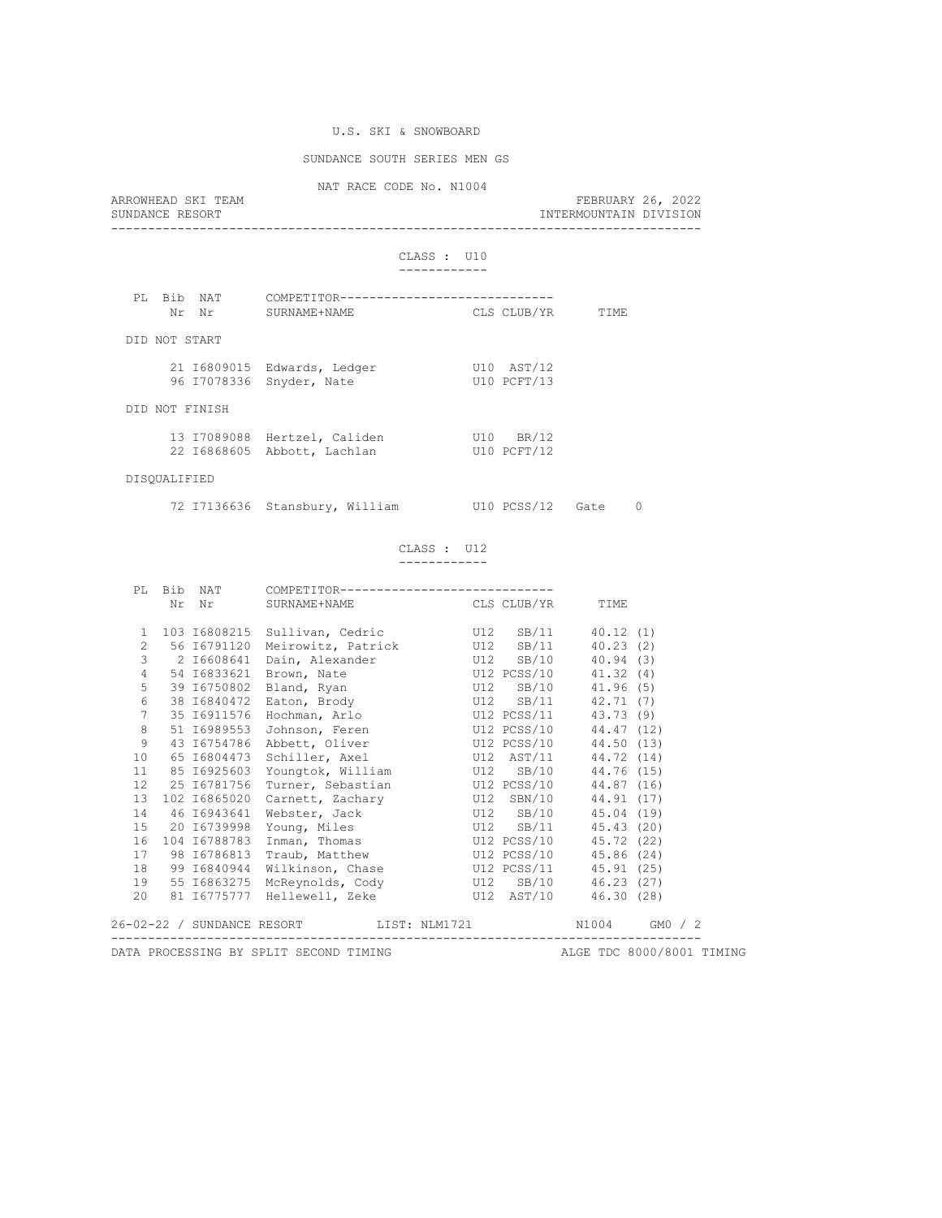# SUNDANCE SOUTH SERIES MEN GS

NAT RACE CODE No. N1004

| ARROWHEAD SKI TEAM<br>SUNDANCE RESORT                                                                                                                                                                                                           |                                                             | NAI RACE CODE NO. NIVUT |                           | INTERMOUNTAIN DIVISION | FEBRUARY 26, 2022 |
|-------------------------------------------------------------------------------------------------------------------------------------------------------------------------------------------------------------------------------------------------|-------------------------------------------------------------|-------------------------|---------------------------|------------------------|-------------------|
|                                                                                                                                                                                                                                                 |                                                             | CLASS : U10             |                           |                        |                   |
| Bib NAT<br>PT.<br>Nr Nr 1990's Nr 1990's State Street and North Street and Street and Street and Street and North Street and North Street and North Street and North Street and North Street and North Street and North Street and North Street | COMPETITOR-----------------------<br>SURNAME+NAME           |                         | CLS CLUB/YR               | TIME                   |                   |
| DID NOT START                                                                                                                                                                                                                                   |                                                             |                         |                           |                        |                   |
|                                                                                                                                                                                                                                                 | 21 I6809015 Edwards, Ledger<br>96 I7078336 Snyder, Nate     |                         | U10 AST/12<br>U10 PCFT/13 |                        |                   |
| DID NOT FINISH                                                                                                                                                                                                                                  |                                                             |                         |                           |                        |                   |
|                                                                                                                                                                                                                                                 | 13 I7089088 Hertzel, Caliden<br>22 I6868605 Abbott, Lachlan |                         | U10 BR/12<br>U10 PCFT/12  |                        |                   |
| DISOUALIFIED                                                                                                                                                                                                                                    |                                                             |                         |                           |                        |                   |
|                                                                                                                                                                                                                                                 | 72 I7136636 Stansbury, William U10 PCSS/12 Gate             |                         |                           |                        | 0                 |

### CLASS : U12 ------------

|                 |                                                                                       |  | $\verb Nr  \hspace{1.5cm} \verb Nr  \hspace{1.5cm} \verb SURNAME+NAME  \hspace{1.5cm} \verb CLS CLUB/YR  \hspace{1.5cm}$ |  |  | TIME |  |  |  |  |
|-----------------|---------------------------------------------------------------------------------------|--|--------------------------------------------------------------------------------------------------------------------------|--|--|------|--|--|--|--|
|                 |                                                                                       |  |                                                                                                                          |  |  |      |  |  |  |  |
| $\mathbf{1}$    |                                                                                       |  | 103 16808215 Sullivan, Cedric 50 U12 SB/11 40.12 (1)                                                                     |  |  |      |  |  |  |  |
| $\overline{2}$  |                                                                                       |  | 56 16791120 Meirowitz, Patrick U12 SB/11 40.23 (2)                                                                       |  |  |      |  |  |  |  |
|                 |                                                                                       |  |                                                                                                                          |  |  |      |  |  |  |  |
|                 |                                                                                       |  | 4 54 16833621 Brown, Nate 54 1.32 (4)                                                                                    |  |  |      |  |  |  |  |
| 5               |                                                                                       |  |                                                                                                                          |  |  |      |  |  |  |  |
|                 |                                                                                       |  | 6 38 16840472 Eaton, Brody 6 12 SB/11 42.71 (7)                                                                          |  |  |      |  |  |  |  |
|                 |                                                                                       |  | 7 35 16911576 Hochman, Arlo 512 PCSS/11 43.73 (9)                                                                        |  |  |      |  |  |  |  |
| 8               |                                                                                       |  | 51 I6989553 Johnson, Feren U12 PCSS/10 44.47 (12)                                                                        |  |  |      |  |  |  |  |
| 9               |                                                                                       |  | 43 16754786 Abbett, Oliver 612 PCSS/10 44.50 (13)                                                                        |  |  |      |  |  |  |  |
| 10 <sup>°</sup> |                                                                                       |  |                                                                                                                          |  |  |      |  |  |  |  |
| 11              |                                                                                       |  | 85 16925603 Youngtok, William b U12 SB/10 44.76 (15)                                                                     |  |  |      |  |  |  |  |
|                 |                                                                                       |  |                                                                                                                          |  |  |      |  |  |  |  |
| 13              |                                                                                       |  | 102 16865020 Carnett, Zachary 012 SBN/10 44.91 (17)                                                                      |  |  |      |  |  |  |  |
| 14              |                                                                                       |  | 46 16943641 Webster, Jack 6 U12 SB/10 45.04 (19)                                                                         |  |  |      |  |  |  |  |
|                 |                                                                                       |  |                                                                                                                          |  |  |      |  |  |  |  |
| 16              |                                                                                       |  | 104 16788783 Inman, Thomas 612 U12 PCSS/10 45.72 (22)                                                                    |  |  |      |  |  |  |  |
|                 |                                                                                       |  | 17 98 16786813 Traub, Matthew U12 PCSS/10 45.86 (24)                                                                     |  |  |      |  |  |  |  |
| 18              |                                                                                       |  | 99 I6840944 Wilkinson, Chase 5112 PCSS/11 45.91 (25)                                                                     |  |  |      |  |  |  |  |
|                 |                                                                                       |  | 19 55 16863275 McReynolds, Cody 012 SB/10 46.23 (27)                                                                     |  |  |      |  |  |  |  |
|                 |                                                                                       |  | 20 81 16775777 Hellewell, Zeke 512 AST/10 46.30 (28)                                                                     |  |  |      |  |  |  |  |
|                 |                                                                                       |  | 26-02-22 / SUNDANCE RESORT LIST: NLM1721 N1004 GM0 / 2                                                                   |  |  |      |  |  |  |  |
|                 | DATA PROCESSING BY SPLIT SECOND TIMING TO THE RESOLUTION OF ALGE TDC 8000/8001 TIMING |  |                                                                                                                          |  |  |      |  |  |  |  |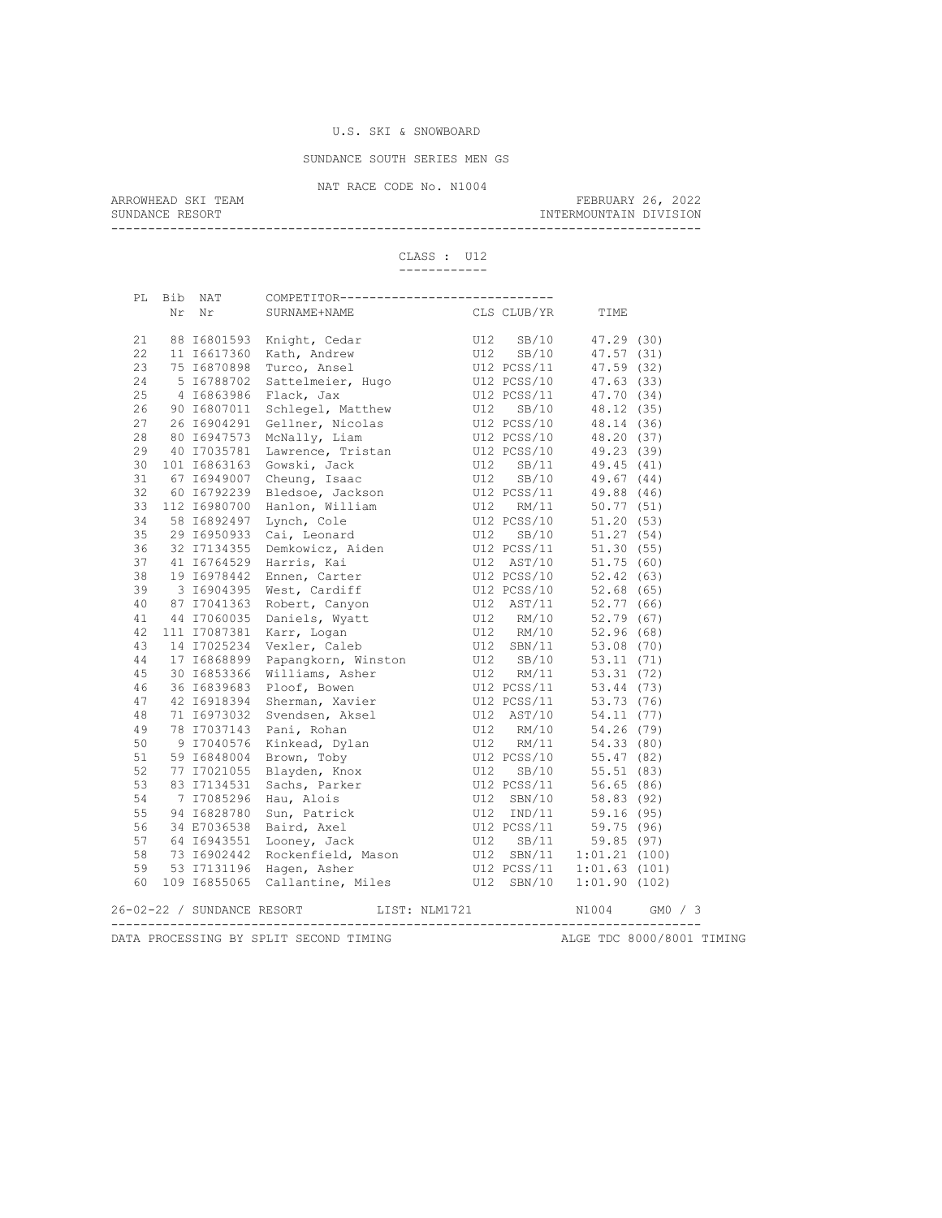SUNDANCE SOUTH SERIES MEN GS

NAT RACE CODE No. N1004<br>ARROWHEAD SKI TEAM

ARROWHEAD SKI TEAM FEBRUARY 26, 2022 SUNDANCE RESORT **INTERMOUNTAIN DIVISION** 

--------------------------------------------------------------------------------

CLASS : U12 ------------

|  | PL Bib NAT | COMPETITOR-----------------------------                                                                                                                                                                                                                             |               |                  |      |               |
|--|------------|---------------------------------------------------------------------------------------------------------------------------------------------------------------------------------------------------------------------------------------------------------------------|---------------|------------------|------|---------------|
|  | Nr Nr      | SURNAME+NAME                                                                                                                                                                                                                                                        |               | CLS CLUB/YR      | TIME |               |
|  |            |                                                                                                                                                                                                                                                                     |               |                  |      |               |
|  |            |                                                                                                                                                                                                                                                                     |               |                  |      |               |
|  |            |                                                                                                                                                                                                                                                                     |               |                  |      |               |
|  |            |                                                                                                                                                                                                                                                                     |               |                  |      |               |
|  |            |                                                                                                                                                                                                                                                                     |               |                  |      |               |
|  |            |                                                                                                                                                                                                                                                                     |               |                  |      |               |
|  |            |                                                                                                                                                                                                                                                                     |               |                  |      |               |
|  |            |                                                                                                                                                                                                                                                                     |               |                  |      |               |
|  |            |                                                                                                                                                                                                                                                                     |               |                  |      |               |
|  |            |                                                                                                                                                                                                                                                                     |               |                  |      |               |
|  |            |                                                                                                                                                                                                                                                                     |               |                  |      |               |
|  |            |                                                                                                                                                                                                                                                                     |               |                  |      |               |
|  |            |                                                                                                                                                                                                                                                                     |               |                  |      |               |
|  |            |                                                                                                                                                                                                                                                                     |               |                  |      |               |
|  |            |                                                                                                                                                                                                                                                                     |               |                  |      |               |
|  |            |                                                                                                                                                                                                                                                                     |               |                  |      |               |
|  |            |                                                                                                                                                                                                                                                                     |               |                  |      |               |
|  |            |                                                                                                                                                                                                                                                                     |               |                  |      |               |
|  |            |                                                                                                                                                                                                                                                                     |               |                  |      |               |
|  |            |                                                                                                                                                                                                                                                                     |               |                  |      |               |
|  |            |                                                                                                                                                                                                                                                                     |               |                  |      |               |
|  |            |                                                                                                                                                                                                                                                                     |               |                  |      |               |
|  |            |                                                                                                                                                                                                                                                                     |               |                  |      |               |
|  |            |                                                                                                                                                                                                                                                                     |               |                  |      |               |
|  |            |                                                                                                                                                                                                                                                                     |               |                  |      |               |
|  |            |                                                                                                                                                                                                                                                                     |               |                  |      |               |
|  |            |                                                                                                                                                                                                                                                                     |               |                  |      |               |
|  |            |                                                                                                                                                                                                                                                                     |               |                  |      |               |
|  |            |                                                                                                                                                                                                                                                                     |               |                  |      |               |
|  |            |                                                                                                                                                                                                                                                                     |               |                  |      |               |
|  |            |                                                                                                                                                                                                                                                                     |               |                  |      |               |
|  |            |                                                                                                                                                                                                                                                                     |               |                  |      |               |
|  |            |                                                                                                                                                                                                                                                                     |               |                  |      |               |
|  |            |                                                                                                                                                                                                                                                                     |               |                  |      |               |
|  |            |                                                                                                                                                                                                                                                                     |               |                  |      |               |
|  |            |                                                                                                                                                                                                                                                                     |               |                  |      |               |
|  |            |                                                                                                                                                                                                                                                                     |               |                  |      |               |
|  |            |                                                                                                                                                                                                                                                                     |               |                  |      |               |
|  |            |                                                                                                                                                                                                                                                                     |               |                  |      |               |
|  |            |                                                                                                                                                                                                                                                                     |               |                  |      |               |
|  |            |                                                                                                                                                                                                                                                                     |               |                  |      |               |
|  |            |                                                                                                                                                                                                                                                                     |               |                  |      |               |
|  |            |                                                                                                                                                                                                                                                                     |               |                  |      |               |
|  |            | Fr. 2001 Min Control (1914)<br>22 B1601533 Enight, Celar (1922 SS) (19778 TIME<br>22 B1601533 Enight, Celar (1922 PCS) (19778 1792<br>23 116617360 Katch, Andrew (1922 PCS) (19778 1792<br>24 16628366 Flack, Jack (1982 PCS) (1978 1<br>26-02-22 / SUNDANCE RESORT | LIST: NLM1721 |                  |      | N1004 GM0 / 3 |
|  |            |                                                                                                                                                                                                                                                                     |               | ---------------- |      |               |

DATA PROCESSING BY SPLIT SECOND TIMING **ALGE TDC 8000/8001 TIMING**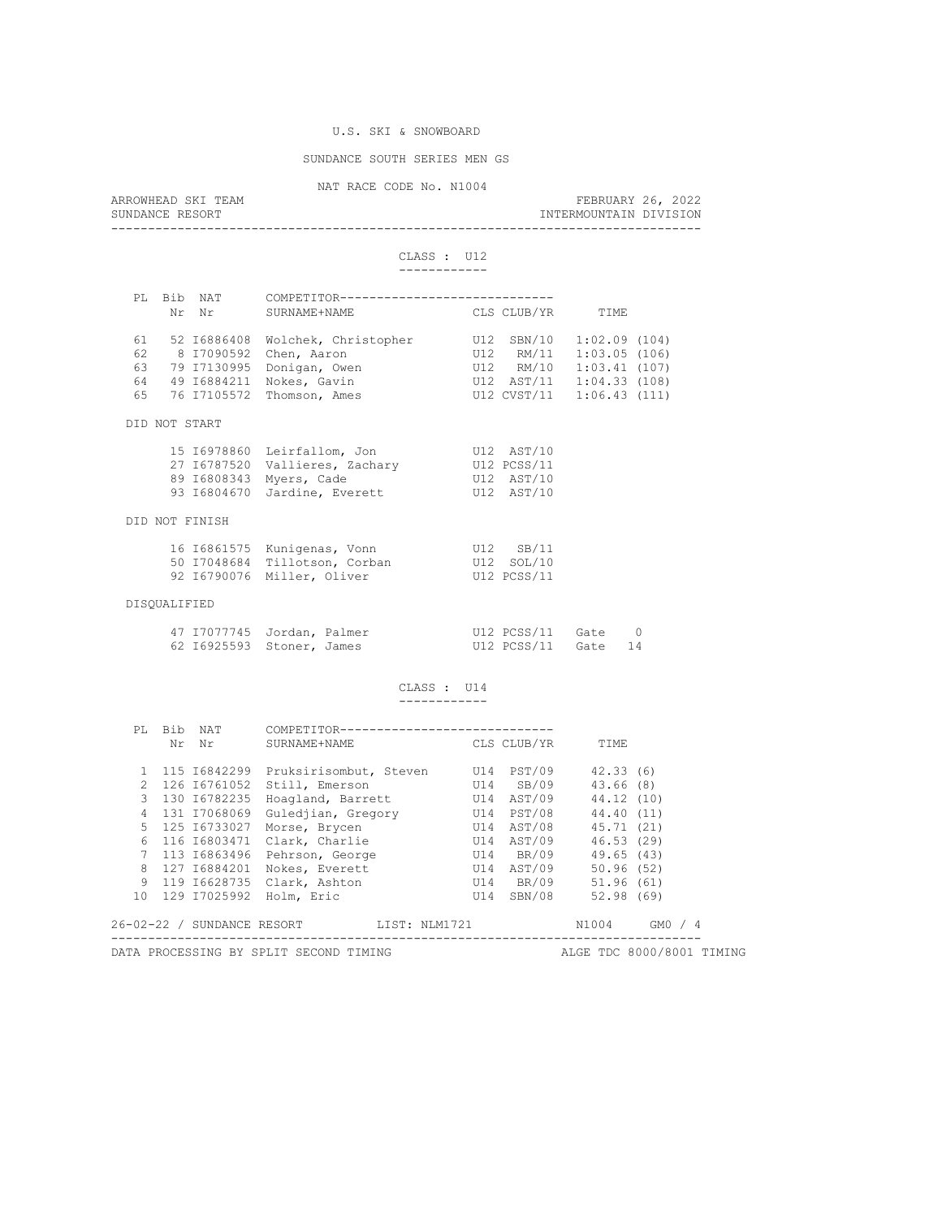### SUNDANCE SOUTH SERIES MEN GS

NAT RACE CODE No. N1004<br>ARROWHEAD SKI TEAM ARROWHEAD SKI TEAM FEBRUARY 26, 2022 SUNDANCE RESORT **INTERMOUNTAIN DIVISION** --------------------------------------------------------------------------------

#### CLASS : U12 ------------

| PT. |               | Bib NAT        | COMPETITOR----------------------           |           |             |                           |  |  |  |  |
|-----|---------------|----------------|--------------------------------------------|-----------|-------------|---------------------------|--|--|--|--|
|     |               | Nr Nr          | SURNAME + NAME CLS CLUB/YR                 |           |             | TIME                      |  |  |  |  |
|     |               |                |                                            |           |             |                           |  |  |  |  |
|     |               | 61 52 16886408 | Wolchek, Christopher                       |           | U12 SBN/10  | 1:02.09(104)              |  |  |  |  |
| 62  |               |                | 8 17090592 Chen, Aaron                     |           | U12 RM/11   | 1:03.05(106)              |  |  |  |  |
|     |               |                | 63 79 I7130995 Donigan, Owen               |           |             | U12 RM/10 1:03.41 (107)   |  |  |  |  |
|     |               |                | 64 49 16884211 Nokes, Gavin                |           |             | U12 AST/11 1:04.33 (108)  |  |  |  |  |
| 65  |               |                | 76 17105572 Thomson, Ames                  |           |             | U12 CVST/11 1:06.43 (111) |  |  |  |  |
|     | DID NOT START |                |                                            |           |             |                           |  |  |  |  |
|     |               |                | 15 16978860 Leirfallom, Jon U12 AST/10     |           |             |                           |  |  |  |  |
|     |               |                | 27 16787520 Vallieres, Zachary U12 PCSS/11 |           |             |                           |  |  |  |  |
|     |               |                | 89 I6808343 Myers, Cade                    |           | U12 AST/10  |                           |  |  |  |  |
|     |               |                | 93 I6804670 Jardine, Everett               |           | U12 AST/10  |                           |  |  |  |  |
|     |               | DID NOT FINISH |                                            |           |             |                           |  |  |  |  |
|     |               |                | 16 16861575 Kunigenas, Vonn                | U12 SB/11 |             |                           |  |  |  |  |
|     |               |                | 50 I7048684 Tillotson, Corban              |           | U12 SOL/10  |                           |  |  |  |  |
|     |               |                | 92 16790076 Miller, Oliver                 |           | U12 PCSS/11 |                           |  |  |  |  |
|     | DISOUALIFIED  |                |                                            |           |             |                           |  |  |  |  |
|     |               |                |                                            |           |             |                           |  |  |  |  |

| 47 I7077745 Jordan, Palmer |  | $U12 PCSS/11$ Gate 0 |  |
|----------------------------|--|----------------------|--|
| 62 16925593 Stoner, James  |  | U12 PCSS/11 Gate 14  |  |

### CLASS : U14 ------------

| PT.           |                                                                     | Bib NAT<br>Nr Nr | COMPETITOR----------------------<br>SURNAME+NAME | CLS CLUB/YR |            | TIME       |           |  |  |  |
|---------------|---------------------------------------------------------------------|------------------|--------------------------------------------------|-------------|------------|------------|-----------|--|--|--|
|               |                                                                     |                  |                                                  |             |            |            |           |  |  |  |
|               |                                                                     | 115 16842299     | Pruksirisombut, Steven U14 PST/09                |             |            | 42.33(6)   |           |  |  |  |
| $\mathcal{P}$ |                                                                     | 126 16761052     | Still, Emerson                                   | U14 SB/09   |            | 43.66 (8)  |           |  |  |  |
| $\mathcal{E}$ |                                                                     | 130 16782235     | Hoagland, Barrett U14 AST/09                     |             |            | 44.12 (10) |           |  |  |  |
|               |                                                                     | 4 131 17068069   | Gulediian, Gregory 614 PST/08                    |             |            | 44.40 (11) |           |  |  |  |
|               |                                                                     | 5 125 16733027   | Morse, Brycen                                    |             | U14 AST/08 | 45.71 (21) |           |  |  |  |
| 6             |                                                                     | 116 16803471     | Clark, Charlie                                   |             | U14 AST/09 | 46.53(29)  |           |  |  |  |
| $7^{\circ}$   |                                                                     | 113 16863496     | Pehrson, George                                  |             | U14 BR/09  | 49.65 (43) |           |  |  |  |
| 8             |                                                                     | 127 16884201     | Nokes, Everett                                   |             | U14 AST/09 | 50.96(52)  |           |  |  |  |
| 9             |                                                                     |                  | 119 16628735 Clark, Ashton                       |             | U14 BR/09  | 51.96 (61) |           |  |  |  |
|               |                                                                     |                  | 10 129 17025992 Holm, Eric                       |             | U14 SBN/08 | 52.98(69)  |           |  |  |  |
|               |                                                                     |                  | 26-02-22 / SUNDANCE RESORT LIST: NLM1721         |             |            | N1004      | $GMO$ / 4 |  |  |  |
|               | ALGE TDC 8000/8001 TIMING<br>DATA PROCESSING BY SPLIT SECOND TIMING |                  |                                                  |             |            |            |           |  |  |  |